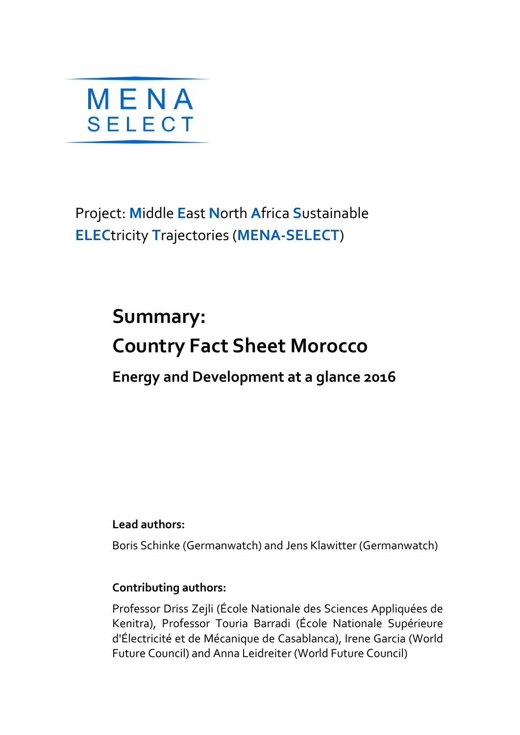

Project: **M**iddle **E**ast **N**orth **A**frica **S**ustainable **ELEC**tricity **T**rajectories (**MENA-SELECT**)

# **Summary: Country Fact Sheet Morocco Energy and Development at a glance 2016**

**Lead authors:**

Boris Schinke (Germanwatch) and Jens Klawitter (Germanwatch)

### **Contributing authors:**

Professor Driss Zejli (École Nationale des Sciences Appliquées de Kenitra), Professor Touria Barradi (École Nationale Supérieure d'Électricité et de Mécanique de Casablanca), Irene Garcia (World Future Council) and Anna Leidreiter (World Future Council)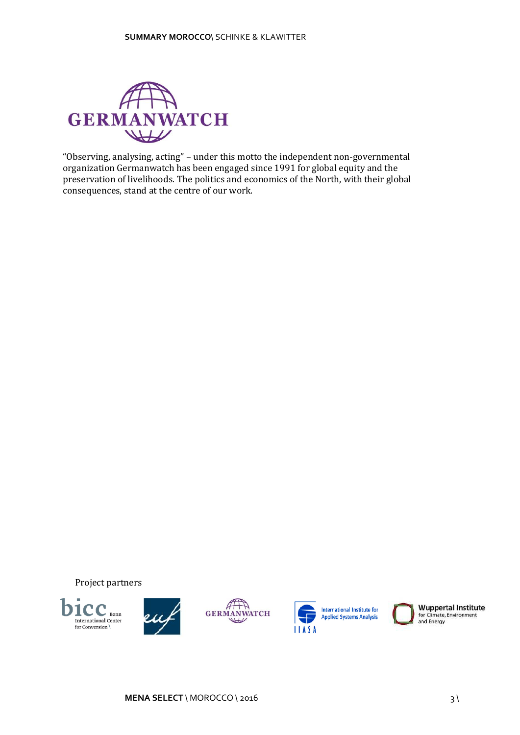

"Observing, analysing, acting" – under this motto the independent non-governmental organization Germanwatch has been engaged since 1991 for global equity and the preservation of livelihoods. The politics and economics of the North, with their global consequences, stand at the centre of our work.

Project partners







**International Institute for Applied Systems Analysis** 



**Wuppertal Institute** for Climate, Environment<br>and Energy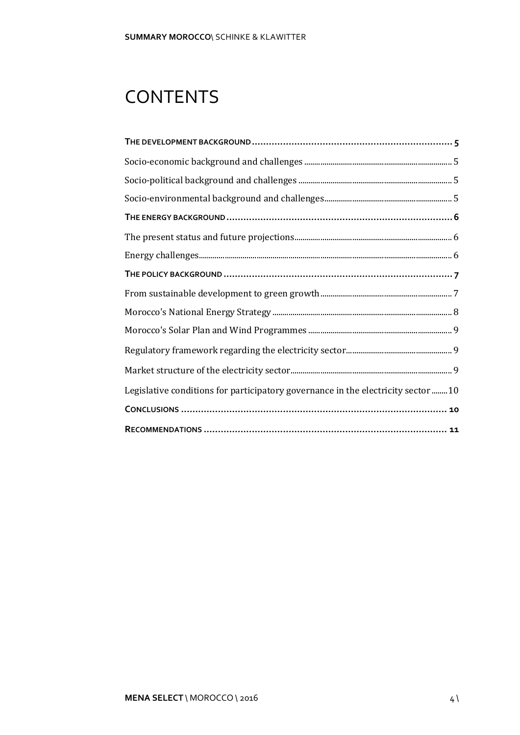# **CONTENTS**

| Legislative conditions for participatory governance in the electricity sector 10 |
|----------------------------------------------------------------------------------|
|                                                                                  |
|                                                                                  |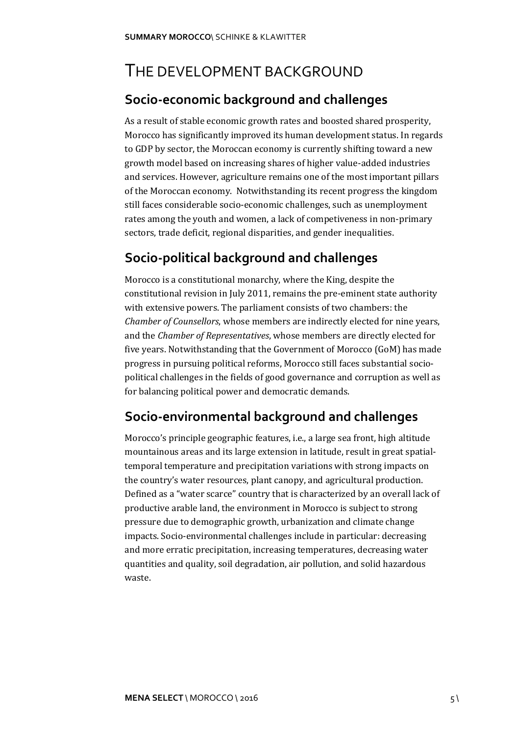### <span id="page-3-0"></span>THE DEVELOPMENT BACKGROUND

### <span id="page-3-1"></span>**Socio-economic background and challenges**

As a result of stable economic growth rates and boosted shared prosperity, Morocco has significantly improved its human development status. In regards to GDP by sector, the Moroccan economy is currently shifting toward a new growth model based on increasing shares of higher value-added industries and services. However, agriculture remains one of the most important pillars of the Moroccan economy. Notwithstanding its recent progress the kingdom still faces considerable socio-economic challenges, such as unemployment rates among the youth and women, a lack of competiveness in non-primary sectors, trade deficit, regional disparities, and gender inequalities.

### <span id="page-3-2"></span>**Socio-political background and challenges**

Morocco is a constitutional monarchy, where the King, despite the constitutional revision in July 2011, remains the pre-eminent state authority with extensive powers. The parliament consists of two chambers: the *Chamber of Counsellors*, whose members are indirectly elected for nine years, and the *Chamber of Representatives*, whose members are directly elected for five years. Notwithstanding that the Government of Morocco (GoM) has made progress in pursuing political reforms, Morocco still faces substantial sociopolitical challenges in the fields of good governance and corruption as well as for balancing political power and democratic demands.

### <span id="page-3-3"></span>**Socio-environmental background and challenges**

Morocco's principle geographic features, i.e., a large sea front, high altitude mountainous areas and its large extension in latitude, result in great spatialtemporal temperature and precipitation variations with strong impacts on the country's water resources, plant canopy, and agricultural production. Defined as a "water scarce" country that is characterized by an overall lack of productive arable land, the environment in Morocco is subject to strong pressure due to demographic growth, urbanization and climate change impacts. Socio-environmental challenges include in particular: decreasing and more erratic precipitation, increasing temperatures, decreasing water quantities and quality, soil degradation, air pollution, and solid hazardous waste.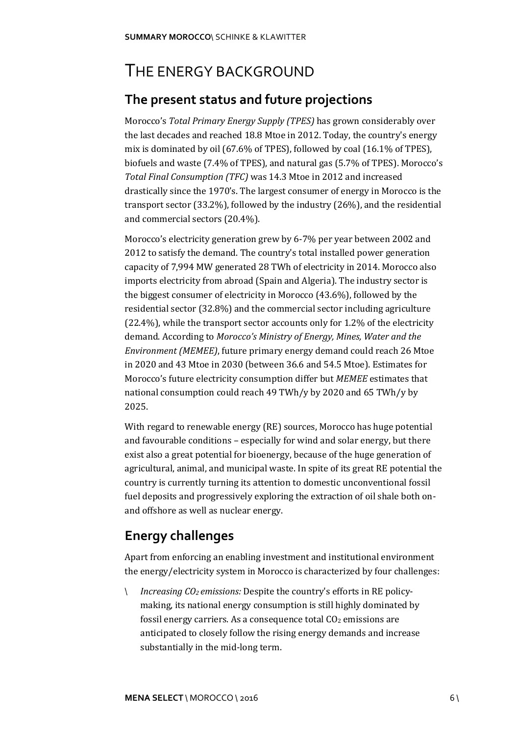### <span id="page-4-0"></span>THE ENERGY BACKGROUND

### <span id="page-4-1"></span>**The present status and future projections**

Morocco's *Total Primary Energy Supply (TPES)* has grown considerably over the last decades and reached 18.8 Mtoe in 2012. Today, the country's energy mix is dominated by oil (67.6% of TPES), followed by coal (16.1% of TPES), biofuels and waste (7.4% of TPES), and natural gas (5.7% of TPES). Morocco's *Total Final Consumption (TFC)* was 14.3 Mtoe in 2012 and increased drastically since the 1970's. The largest consumer of energy in Morocco is the transport sector (33.2%), followed by the industry (26%), and the residential and commercial sectors (20.4%).

Morocco's electricity generation grew by 6-7% per year between 2002 and 2012 to satisfy the demand. The country's total installed power generation capacity of 7,994 MW generated 28 TWh of electricity in 2014. Morocco also imports electricity from abroad (Spain and Algeria). The industry sector is the biggest consumer of electricity in Morocco (43.6%), followed by the residential sector (32.8%) and the commercial sector including agriculture (22.4%), while the transport sector accounts only for 1.2% of the electricity demand. According to *Morocco's Ministry of Energy, Mines, Water and the Environment (MEMEE)*, future primary energy demand could reach 26 Mtoe in 2020 and 43 Mtoe in 2030 (between 36.6 and 54.5 Mtoe). Estimates for Morocco's future electricity consumption differ but *MEMEE* estimates that national consumption could reach 49 TWh/y by 2020 and 65 TWh/y by 2025.

With regard to renewable energy (RE) sources, Morocco has huge potential and favourable conditions – especially for wind and solar energy, but there exist also a great potential for bioenergy, because of the huge generation of agricultural, animal, and municipal waste. In spite of its great RE potential the country is currently turning its attention to domestic unconventional fossil fuel deposits and progressively exploring the extraction of oil shale both onand offshore as well as nuclear energy.

### <span id="page-4-2"></span>**Energy challenges**

Apart from enforcing an enabling investment and institutional environment the energy/electricity system in Morocco is characterized by four challenges:

*Increasing CO2 emissions:* Despite the country's efforts in RE policy- $\mathcal{N}$ making, its national energy consumption is still highly dominated by fossil energy carriers. As a consequence total  $CO<sub>2</sub>$  emissions are anticipated to closely follow the rising energy demands and increase substantially in the mid-long term.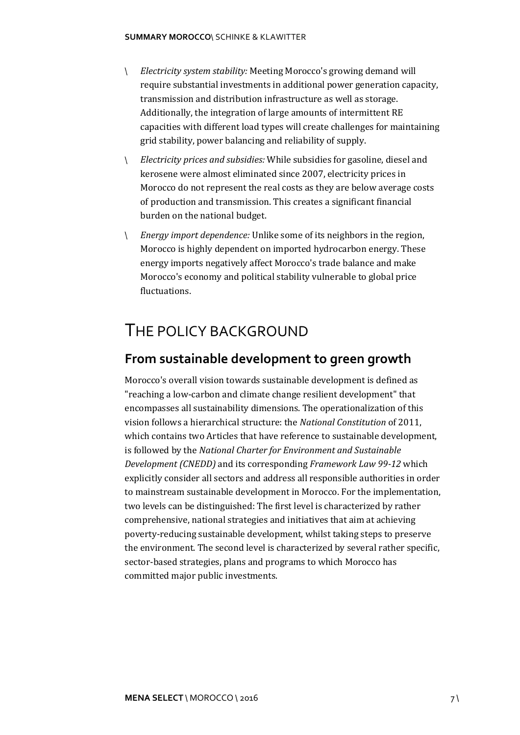#### **SUMMARY MOROCCO**\ SCHINKE & KLAWITTER

- $\mathcal{N}$ *Electricity system stability:* Meeting Morocco's growing demand will require substantial investments in additional power generation capacity, transmission and distribution infrastructure as well as storage. Additionally, the integration of large amounts of intermittent RE capacities with different load types will create challenges for maintaining grid stability, power balancing and reliability of supply.
- $\Lambda$ *Electricity prices and subsidies:* While subsidies for gasoline, diesel and kerosene were almost eliminated since 2007, electricity prices in Morocco do not represent the real costs as they are below average costs of production and transmission. This creates a significant financial burden on the national budget.
- *Energy import dependence:* Unlike some of its neighbors in the region,  $\Lambda$ Morocco is highly dependent on imported hydrocarbon energy. These energy imports negatively affect Morocco's trade balance and make Morocco's economy and political stability vulnerable to global price fluctuations.

### <span id="page-5-0"></span>THE POLICY BACKGROUND

#### <span id="page-5-1"></span>**From sustainable development to green growth**

<span id="page-5-2"></span>Morocco's overall vision towards sustainable development is defined as "reaching a low-carbon and climate change resilient development" that encompasses all sustainability dimensions. The operationalization of this vision follows a hierarchical structure: the *National Constitution* of 2011, which contains two Articles that have reference to sustainable development, is followed by the *National Charter for Environment and Sustainable Development (CNEDD)* and its corresponding *Framework Law 99-12* which explicitly consider all sectors and address all responsible authorities in order to mainstream sustainable development in Morocco. For the implementation, two levels can be distinguished: The first level is characterized by rather comprehensive, national strategies and initiatives that aim at achieving poverty-reducing sustainable development, whilst taking steps to preserve the environment. The second level is characterized by several rather specific, sector-based strategies, plans and programs to which Morocco has committed major public investments.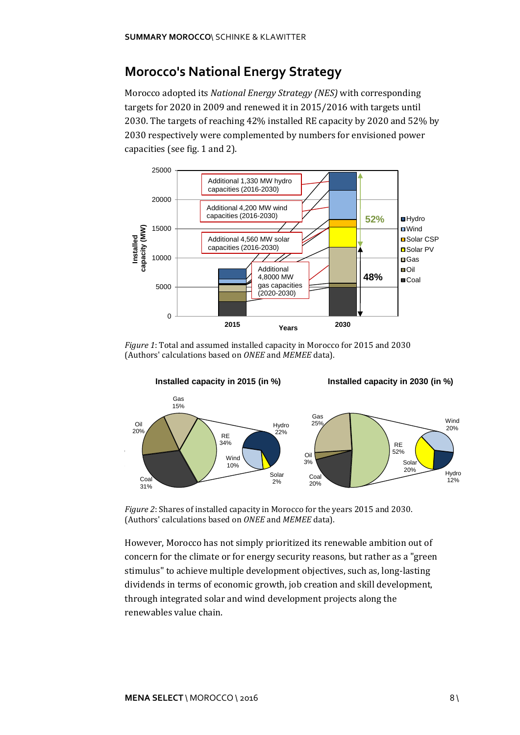### **Morocco's National Energy Strategy**

Morocco adopted its *National Energy Strategy (NES)* with corresponding targets for 2020 in 2009 and renewed it in 2015/2016 with targets until 2030. The targets of reaching 42% installed RE capacity by 2020 and 52% by 2030 respectively were complemented by numbers for envisioned power capacities (see fig. 1 and 2).



*Figure 1*: Total and assumed installed capacity in Morocco for 2015 and 2030 (Authors' calculations based on *ONEE* and *MEMEE* data).



*Figure 2*: Shares of installed capacity in Morocco for the years 2015 and 2030. (Authors' calculations based on *ONEE* and *MEMEE* data).

However, Morocco has not simply prioritized its renewable ambition out of concern for the climate or for energy security reasons, but rather as a "green stimulus" to achieve multiple development objectives, such as, long-lasting dividends in terms of economic growth, job creation and skill development, through integrated solar and wind development projects along the renewables value chain.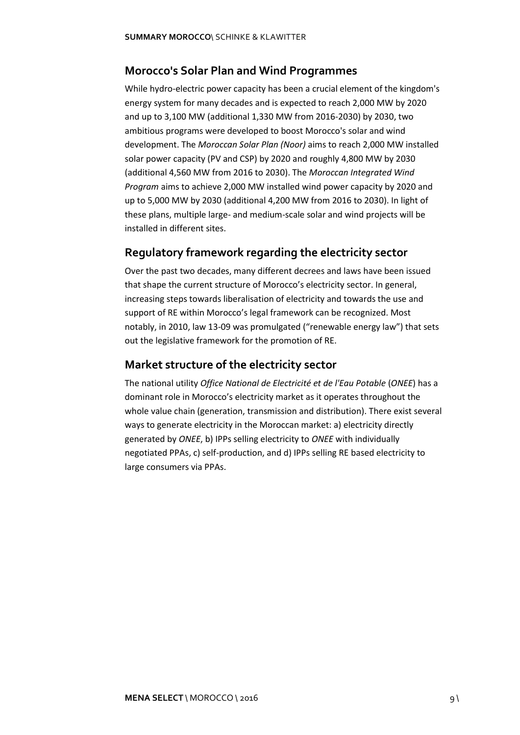#### <span id="page-7-0"></span>**Morocco's Solar Plan and Wind Programmes**

While hydro-electric power capacity has been a crucial element of the kingdom's energy system for many decades and is expected to reach 2,000 MW by 2020 and up to 3,100 MW (additional 1,330 MW from 2016-2030) by 2030, two ambitious programs were developed to boost Morocco's solar and wind development. The *Moroccan Solar Plan (Noor)* aims to reach 2,000 MW installed solar power capacity (PV and CSP) by 2020 and roughly 4,800 MW by 2030 (additional 4,560 MW from 2016 to 2030). The *Moroccan Integrated Wind Program* aims to achieve 2,000 MW installed wind power capacity by 2020 and up to 5,000 MW by 2030 (additional 4,200 MW from 2016 to 2030). In light of these plans, multiple large- and medium-scale solar and wind projects will be installed in different sites.

#### <span id="page-7-1"></span>**Regulatory framework regarding the electricity sector**

Over the past two decades, many different decrees and laws have been issued that shape the current structure of Morocco's electricity sector. In general, increasing steps towards liberalisation of electricity and towards the use and support of RE within Morocco's legal framework can be recognized. Most notably, in 2010, law 13-09 was promulgated ("renewable energy law") that sets out the legislative framework for the promotion of RE.

#### <span id="page-7-2"></span>**Market structure of the electricity sector**

<span id="page-7-3"></span>The national utility *Office National de Electricité et de l'Eau Potable* (*ONEE*) has a dominant role in Morocco's electricity market as it operates throughout the whole value chain (generation, transmission and distribution). There exist several ways to generate electricity in the Moroccan market: a) electricity directly generated by *ONEE*, b) IPPs selling electricity to *ONEE* with individually negotiated PPAs, c) self-production, and d) IPPs selling RE based electricity to large consumers via PPAs.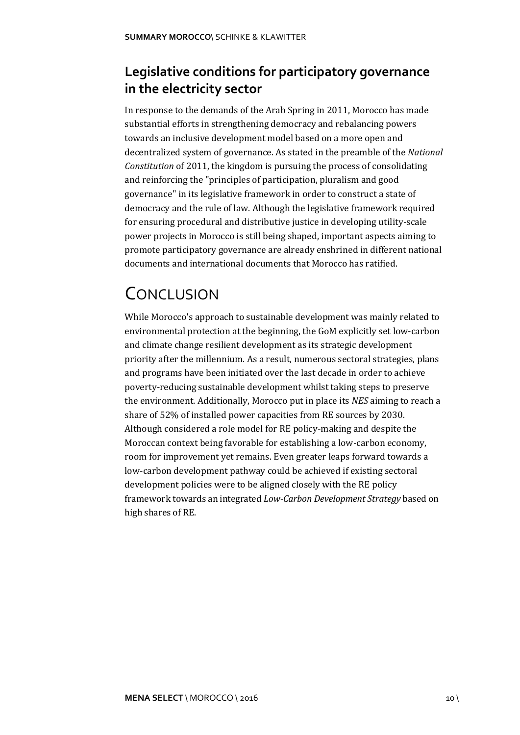### **Legislative conditions for participatory governance in the electricity sector**

In response to the demands of the Arab Spring in 2011, Morocco has made substantial efforts in strengthening democracy and rebalancing powers towards an inclusive development model based on a more open and decentralized system of governance. As stated in the preamble of the *National Constitution* of 2011, the kingdom is pursuing the process of consolidating and reinforcing the "principles of participation, pluralism and good governance" in its legislative framework in order to construct a state of democracy and the rule of law. Although the legislative framework required for ensuring procedural and distributive justice in developing utility-scale power projects in Morocco is still being shaped, important aspects aiming to promote participatory governance are already enshrined in different national documents and international documents that Morocco has ratified.

## <span id="page-8-0"></span>**CONCLUSION**

<span id="page-8-1"></span>While Morocco's approach to sustainable development was mainly related to environmental protection at the beginning, the GoM explicitly set low-carbon and climate change resilient development as its strategic development priority after the millennium. As a result, numerous sectoral strategies, plans and programs have been initiated over the last decade in order to achieve poverty-reducing sustainable development whilst taking steps to preserve the environment. Additionally, Morocco put in place its *NES* aiming to reach a share of 52% of installed power capacities from RE sources by 2030. Although considered a role model for RE policy-making and despite the Moroccan context being favorable for establishing a low-carbon economy, room for improvement yet remains. Even greater leaps forward towards a low-carbon development pathway could be achieved if existing sectoral development policies were to be aligned closely with the RE policy framework towards an integrated *Low-Carbon Development Strategy* based on high shares of RE.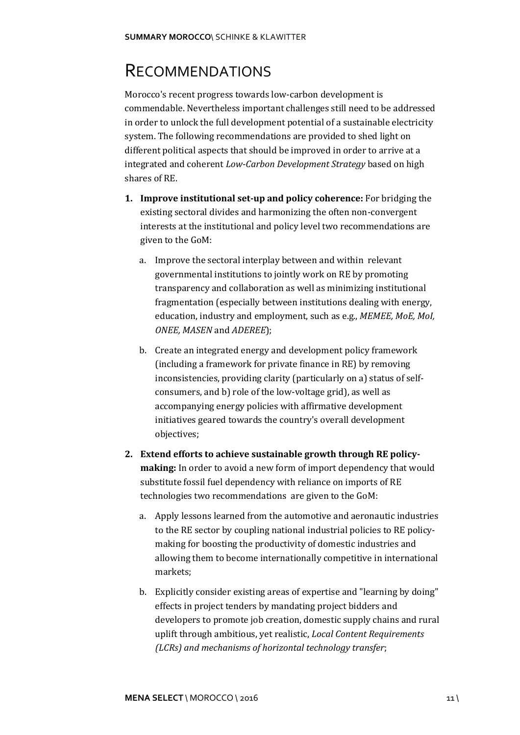### RECOMMENDATIONS

Morocco's recent progress towards low-carbon development is commendable. Nevertheless important challenges still need to be addressed in order to unlock the full development potential of a sustainable electricity system. The following recommendations are provided to shed light on different political aspects that should be improved in order to arrive at a integrated and coherent *Low-Carbon Development Strategy* based on high shares of RE.

- **1. Improve institutional set-up and policy coherence:** For bridging the existing sectoral divides and harmonizing the often non-convergent interests at the institutional and policy level two recommendations are given to the GoM:
	- a. Improve the sectoral interplay between and within relevant governmental institutions to jointly work on RE by promoting transparency and collaboration as well as minimizing institutional fragmentation (especially between institutions dealing with energy, education, industry and employment, such as e.g., *MEMEE, MoE, MoI, ONEE, MASEN* and *ADEREE*);
	- b. Create an integrated energy and development policy framework (including a framework for private finance in RE) by removing inconsistencies, providing clarity (particularly on a) status of selfconsumers, and b) role of the low-voltage grid), as well as accompanying energy policies with affirmative development initiatives geared towards the country's overall development objectives;
- **2. Extend efforts to achieve sustainable growth through RE policymaking:** In order to avoid a new form of import dependency that would substitute fossil fuel dependency with reliance on imports of RE technologies two recommendations are given to the GoM:
	- a. Apply lessons learned from the automotive and aeronautic industries to the RE sector by coupling national industrial policies to RE policymaking for boosting the productivity of domestic industries and allowing them to become internationally competitive in international markets;
	- b. Explicitly consider existing areas of expertise and "learning by doing" effects in project tenders by mandating project bidders and developers to promote job creation, domestic supply chains and rural uplift through ambitious, yet realistic, *Local Content Requirements (LCRs) and mechanisms of horizontal technology transfer*;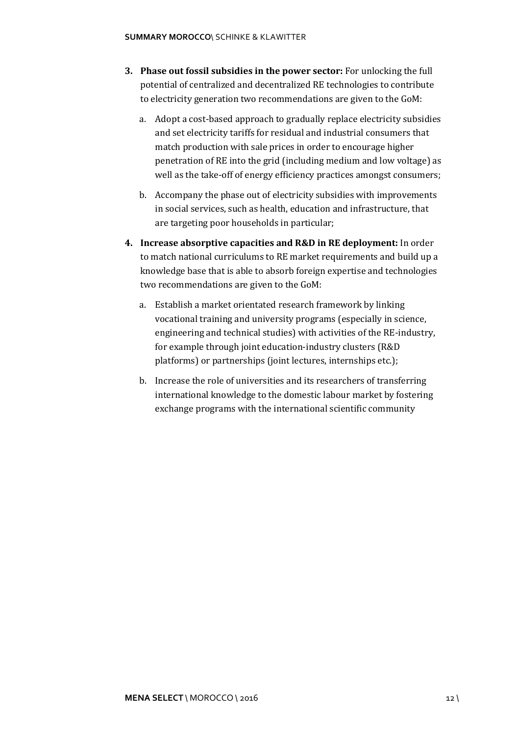- **3. Phase out fossil subsidies in the power sector:** For unlocking the full potential of centralized and decentralized RE technologies to contribute to electricity generation two recommendations are given to the GoM:
	- a. Adopt a cost-based approach to gradually replace electricity subsidies and set electricity tariffs for residual and industrial consumers that match production with sale prices in order to encourage higher penetration of RE into the grid (including medium and low voltage) as well as the take-off of energy efficiency practices amongst consumers;
	- b. Accompany the phase out of electricity subsidies with improvements in social services, such as health, education and infrastructure, that are targeting poor households in particular;
- **4. Increase absorptive capacities and R&D in RE deployment:** In order to match national curriculums to RE market requirements and build up a knowledge base that is able to absorb foreign expertise and technologies two recommendations are given to the GoM:
	- a. Establish a market orientated research framework by linking vocational training and university programs (especially in science, engineering and technical studies) with activities of the RE-industry, for example through joint education-industry clusters (R&D platforms) or partnerships (joint lectures, internships etc.);
	- b. Increase the role of universities and its researchers of transferring international knowledge to the domestic labour market by fostering exchange programs with the international scientific community